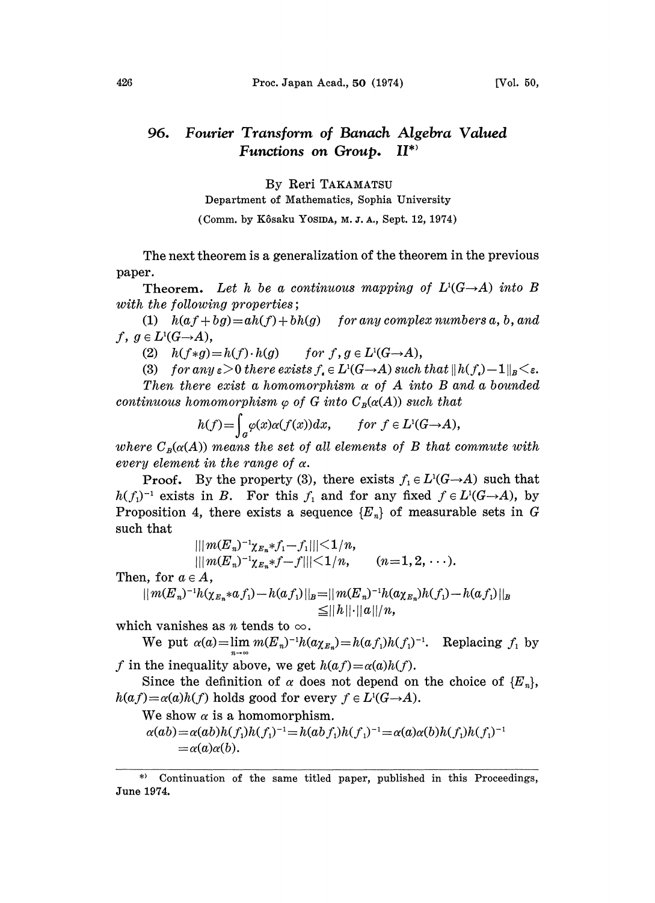## Fourier Transform of Banach Algebra Valued 96. Functions on Group. II\*)

By Reri TAKAMATSU

Department of Mathematics, Sophia University

(Comm. by Kôsaku Yosina, M. J. A., Sept. 12, 1974)

The next theorem is a generalization of the theorem in the previous paper.

Theorem. Let h be a continuous mapping of  $L^{1}(G \rightarrow A)$  into B with the following properties;

(1)  $h(af+bg)=ah(f)+bh(g)$  for any complex numbers a, b, and  $f, g \in L^1(G \rightarrow A),$ 

(2)  $h(f*g)=h(f) \cdot h(g)$  for  $f, g \in L^1(G \rightarrow A)$ ,

(3) for any  $\varepsilon > 0$  there exists  $f_{\epsilon} \in L^1(G \to A)$  such that  $||h(f_{\epsilon}) - 1||_B < \varepsilon$ .

Then there exist a homomorphism  $\alpha$  of A into B and a bounded continuous homomorphism  $\varphi$  of G into  $C_B(\alpha(A))$  such that

$$
h(f) = \int_{a} \varphi(x) \alpha(f(x)) dx, \quad \text{for } f \in L^{1}(G \rightarrow A),
$$

where  $C_R(\alpha(A))$  means the set of all elements of B that commute with every element in the range of  $\alpha$ .

**Proof.** By the property (3), there exists  $f_i \in L^1(G \rightarrow A)$  such that  $h(f_1)^{-1}$  exists in B. For this  $f_1$  and for any fixed  $f \in L^1(G \rightarrow A)$ , by Proposition 4, there exists a sequence  $\{E_n\}$  of measurable sets in G Proposition 4, there exists a sequence  ${E_n}$  of measurable sets in G such that

$$
\| \|m(E_n)^{-1} \chi_{E_n} * f_1 - f_1\| < 1/n,
$$
  
 
$$
\| \|m(E_n)^{-1} \chi_{E_n} * f - f\| < 1/n, \qquad (n = 1, 2, \cdots).
$$
  
 
$$
\in A,
$$

$$
||m(E_n)^{-1}h(\chi_{E_n} * a f_1) - h(a f_1)||_B = ||m(E_n)^{-1}h(a \chi_{E_n})h(f_1) - h(a f_1)||_B
$$
  
\n
$$
\leq ||h|| \cdot ||a||/n,
$$

which vanishes as *n* tends to  $\infty$ .

Then, for  $a$ 

We put  $\alpha(a) = \lim_{m \to \infty} m(E_n)^{-1} h(a \chi_{E_n}) = h(a f_1) h(f_1)^{-1}$ . Replacing  $f_1$  by f in the inequality above, we get  $h(af) = \alpha(a)h(f)$ .

Since the definition of  $\alpha$  does not depend on the choice of  ${E_n}$ ,  $h(af) = \alpha(a)h(f)$  holds good for every  $f \in L^1(G \rightarrow A)$ .

We show  $\alpha$  is a homomorphism.

$$
\alpha(ab) = \alpha(ab)h(f_1)h(f_1)^{-1} = h(ab f_1)h(f_1)^{-1} = \alpha(a)\alpha(b)h(f_1)h(f_1)^{-1} = \alpha(a)\alpha(b).
$$

Continuation of the same titled paper, published in this Proceedings, June 1974.